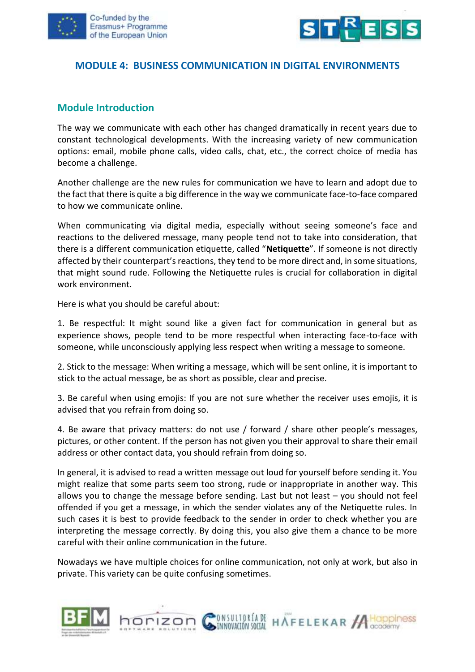



#### **MODULE 4: BUSINESS COMMUNICATION IN DIGITAL ENVIRONMENTS**

#### **Module Introduction**

The way we communicate with each other has changed dramatically in recent years due to constant technological developments. With the increasing variety of new communication options: email, mobile phone calls, video calls, chat, etc., the correct choice of media has become a challenge.

Another challenge are the new rules for communication we have to learn and adopt due to the fact that there is quite a big difference in the way we communicate face-to-face compared to how we communicate online.

When communicating via digital media, especially without seeing someone's face and reactions to the delivered message, many people tend not to take into consideration, that there is a different communication etiquette, called "**Netiquette**". If someone is not directly affected by their counterpart's reactions, they tend to be more direct and, in some situations, that might sound rude. Following the Netiquette rules is crucial for collaboration in digital work environment.

Here is what you should be careful about:

1. Be respectful: It might sound like a given fact for communication in general but as experience shows, people tend to be more respectful when interacting face-to-face with someone, while unconsciously applying less respect when writing a message to someone.

2. Stick to the message: When writing a message, which will be sent online, it is important to stick to the actual message, be as short as possible, clear and precise.

3. Be careful when using emojis: If you are not sure whether the receiver uses emojis, it is advised that you refrain from doing so.

4. Be aware that privacy matters: do not use / forward / share other people's messages, pictures, or other content. If the person has not given you their approval to share their email address or other contact data, you should refrain from doing so.

In general, it is advised to read a written message out loud for yourself before sending it. You might realize that some parts seem too strong, rude or inappropriate in another way. This allows you to change the message before sending. Last but not least – you should not feel offended if you get a message, in which the sender violates any of the Netiquette rules. In such cases it is best to provide feedback to the sender in order to check whether you are interpreting the message correctly. By doing this, you also give them a chance to be more careful with their online communication in the future.

Nowadays we have multiple choices for online communication, not only at work, but also in private. This variety can be quite confusing sometimes.

INVESTIGATE HAFFELEKAR ACODOMISS



horizon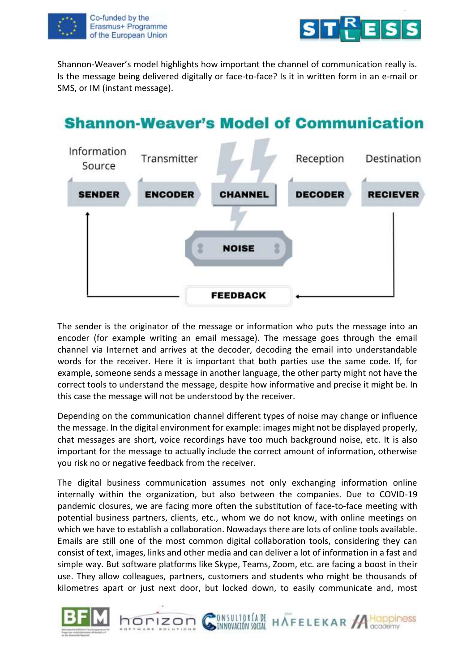



Shannon-Weaver's model highlights how important the channel of communication really is. Is the message being delivered digitally or face-to-face? Is it in written form in an e-mail or SMS, or IM (instant message).



### The sender is the originator of the message or information who puts the message into an encoder (for example writing an email message). The message goes through the email channel via Internet and arrives at the decoder, decoding the email into understandable words for the receiver. Here it is important that both parties use the same code. If, for example, someone sends a message in another language, the other party might not have the correct tools to understand the message, despite how informative and precise it might be. In this case the message will not be understood by the receiver.

Depending on the communication channel different types of noise may change or influence the message. In the digital environment for example: images might not be displayed properly, chat messages are short, voice recordings have too much background noise, etc. It is also important for the message to actually include the correct amount of information, otherwise you risk no or negative feedback from the receiver.

The digital business communication assumes not only exchanging information online internally within the organization, but also between the companies. Due to COVID-19 pandemic closures, we are facing more often the substitution of face-to-face meeting with potential business partners, clients, etc., whom we do not know, with online meetings on which we have to establish a collaboration. Nowadays there are lots of online tools available. Emails are still one of the most common digital collaboration tools, considering they can consist of text, images, links and other media and can deliver a lot of information in a fast and simple way. But software platforms like Skype, Teams, Zoom, etc. are facing a boost in their use. They allow colleagues, partners, customers and students who might be thousands of kilometres apart or just next door, but locked down, to easily communicate and, most

ONSULTORÍADE HAFELEKAR ACOppiness



horizon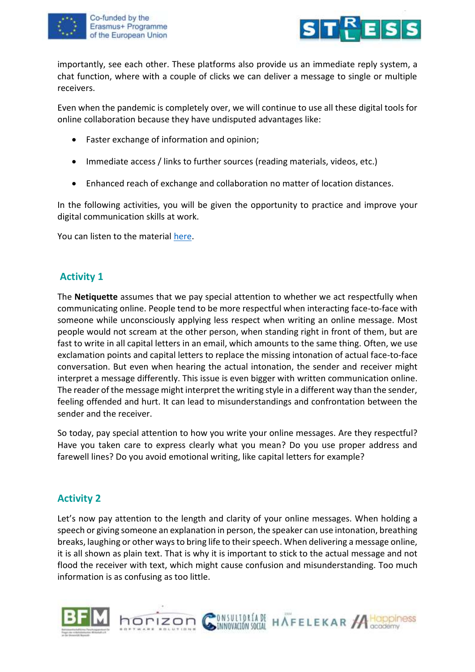



importantly, see each other. These platforms also provide us an immediate reply system, a chat function, where with a couple of clicks we can deliver a message to single or multiple receivers.

Even when the pandemic is completely over, we will continue to use all these digital tools for online collaboration because they have undisputed advantages like:

- Faster exchange of information and opinion;
- Immediate access / links to further sources (reading materials, videos, etc.)
- Enhanced reach of exchange and collaboration no matter of location distances.

In the following activities, you will be given the opportunity to practice and improve your digital communication skills at work.

You can listen to the material [here.](https://youtu.be/y4Mk1nE1KFs)

## **Activity 1**

The **Netiquette** assumes that we pay special attention to whether we act respectfully when communicating online. People tend to be more respectful when interacting face-to-face with someone while unconsciously applying less respect when writing an online message. Most people would not scream at the other person, when standing right in front of them, but are fast to write in all capital letters in an email, which amounts to the same thing. Often, we use exclamation points and capital letters to replace the missing intonation of actual face-to-face conversation. But even when hearing the actual intonation, the sender and receiver might interpret a message differently. This issue is even bigger with written communication online. The reader of the message might interpret the writing style in a different way than the sender, feeling offended and hurt. It can lead to misunderstandings and confrontation between the sender and the receiver.

So today, pay special attention to how you write your online messages. Are they respectful? Have you taken care to express clearly what you mean? Do you use proper address and farewell lines? Do you avoid emotional writing, like capital letters for example?

# **Activity 2**

Let's now pay attention to the length and clarity of your online messages. When holding a speech or giving someone an explanation in person, the speaker can use intonation, breathing breaks, laughing or other ways to bring life to their speech. When delivering a message online, it is all shown as plain text. That is why it is important to stick to the actual message and not flood the receiver with text, which might cause confusion and misunderstanding. Too much information is as confusing as too little.



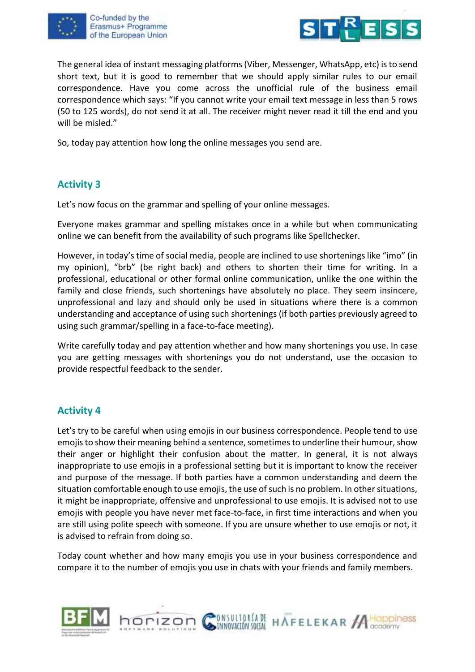





The general idea of instant messaging platforms (Viber, Messenger, WhatsApp, etc) is to send short text, but it is good to remember that we should apply similar rules to our email correspondence. Have you come across the unofficial rule of the business email correspondence which says: "If you cannot write your email text message in less than 5 rows (50 to 125 words), do not send it at all. The receiver might never read it till the end and you will be misled."

So, today pay attention how long the online messages you send are.

# **Activity 3**

Let's now focus on the grammar and spelling of your online messages.

Everyone makes grammar and spelling mistakes once in a while but when communicating online we can benefit from the availability of such programs like Spellchecker.

However, in today's time of social media, people are inclined to use shortenings like "imo" (in my opinion), "brb" (be right back) and others to shorten their time for writing. In a professional, educational or other formal online communication, unlike the one within the family and close friends, such shortenings have absolutely no place. They seem insincere, unprofessional and lazy and should only be used in situations where there is a common understanding and acceptance of using such shortenings (if both parties previously agreed to using such grammar/spelling in a face-to-face meeting).

Write carefully today and pay attention whether and how many shortenings you use. In case you are getting messages with shortenings you do not understand, use the occasion to provide respectful feedback to the sender.

### **Activity 4**

Let's try to be careful when using emojis in our business correspondence. People tend to use emojis to show their meaning behind a sentence, sometimes to underline their humour, show their anger or highlight their confusion about the matter. In general, it is not always inappropriate to use emojis in a professional setting but it is important to know the receiver and purpose of the message. If both parties have a common understanding and deem the situation comfortable enough to use emojis, the use of such is no problem. In other situations, it might be inappropriate, offensive and unprofessional to use emojis. It is advised not to use emojis with people you have never met face-to-face, in first time interactions and when you are still using polite speech with someone. If you are unsure whether to use emojis or not, it is advised to refrain from doing so.

Today count whether and how many emojis you use in your business correspondence and compare it to the number of emojis you use in chats with your friends and family members.



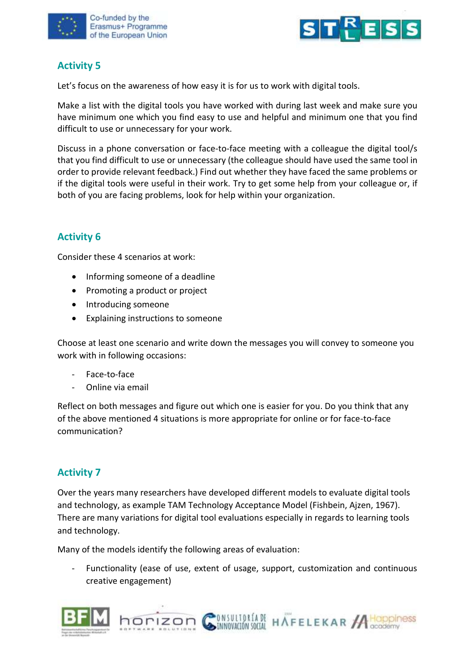



# **Activity 5**

Let's focus on the awareness of how easy it is for us to work with digital tools.

Make a list with the digital tools you have worked with during last week and make sure you have minimum one which you find easy to use and helpful and minimum one that you find difficult to use or unnecessary for your work.

Discuss in a phone conversation or face-to-face meeting with a colleague the digital tool/s that you find difficult to use or unnecessary (the colleague should have used the same tool in order to provide relevant feedback.) Find out whether they have faced the same problems or if the digital tools were useful in their work. Try to get some help from your colleague or, if both of you are facing problems, look for help within your organization.

# **Activity 6**

Consider these 4 scenarios at work:

- Informing someone of a deadline
- Promoting a product or project
- Introducing someone
- Explaining instructions to someone

Choose at least one scenario and write down the messages you will convey to someone you work with in following occasions:

- Face-to-face
- Online via email

Reflect on both messages and figure out which one is easier for you. Do you think that any of the above mentioned 4 situations is more appropriate for online or for face-to-face communication?

### **Activity 7**

Over the years many researchers have developed different models to evaluate digital tools and technology, as example TAM Technology Acceptance Model (Fishbein, Ajzen, 1967). There are many variations for digital tool evaluations especially in regards to learning tools and technology.

Many of the models identify the following areas of evaluation:

horizon

Functionality (ease of use, extent of usage, support, customization and continuous creative engagement)

**DINSULTORÍA DE HAFELEKAR A HOppiness** 

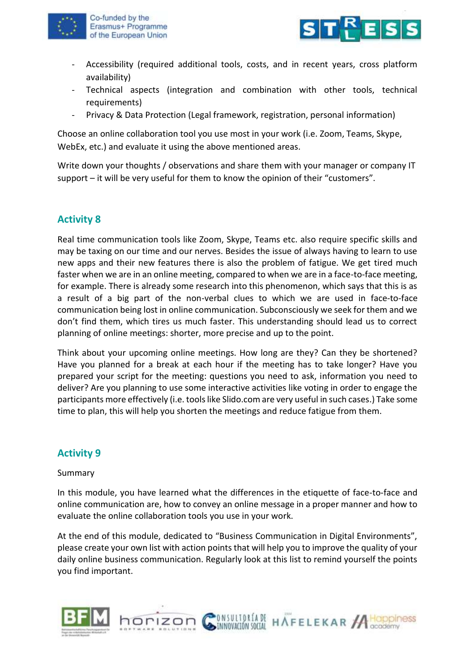

Co-funded by the Erasmus+ Programme of the European Union



- Accessibility (required additional tools, costs, and in recent years, cross platform availability)
- Technical aspects (integration and combination with other tools, technical requirements)
- Privacy & Data Protection (Legal framework, registration, personal information)

Choose an online collaboration tool you use most in your work (i.e. Zoom, Teams, Skype, WebEx, etc.) and evaluate it using the above mentioned areas.

Write down your thoughts / observations and share them with your manager or company IT support – it will be very useful for them to know the opinion of their "customers".

## **Activity 8**

Real time communication tools like Zoom, Skype, Teams etc. also require specific skills and may be taxing on our time and our nerves. Besides the issue of always having to learn to use new apps and their new features there is also the problem of fatigue. We get tired much faster when we are in an online meeting, compared to when we are in a face-to-face meeting, for example. There is already some research into this phenomenon, which says that this is as a result of a big part of the non-verbal clues to which we are used in face-to-face communication being lost in online communication. Subconsciously we seek for them and we don't find them, which tires us much faster. This understanding should lead us to correct planning of online meetings: shorter, more precise and up to the point.

Think about your upcoming online meetings. How long are they? Can they be shortened? Have you planned for a break at each hour if the meeting has to take longer? Have you prepared your script for the meeting: questions you need to ask, information you need to deliver? Are you planning to use some interactive activities like voting in order to engage the participants more effectively (i.e. tools like Slido.com are very useful in such cases.) Take some time to plan, this will help you shorten the meetings and reduce fatigue from them.

# **Activity 9**

Summary

In this module, you have learned what the differences in the etiquette of face-to-face and online communication are, how to convey an online message in a proper manner and how to evaluate the online collaboration tools you use in your work.

At the end of this module, dedicated to "Business Communication in Digital Environments", please create your own list with action points that will help you to improve the quality of your daily online business communication. Regularly look at this list to remind yourself the points you find important.

ONSULTORÍA DE HAFELEKAR ACODOMINES



horizon